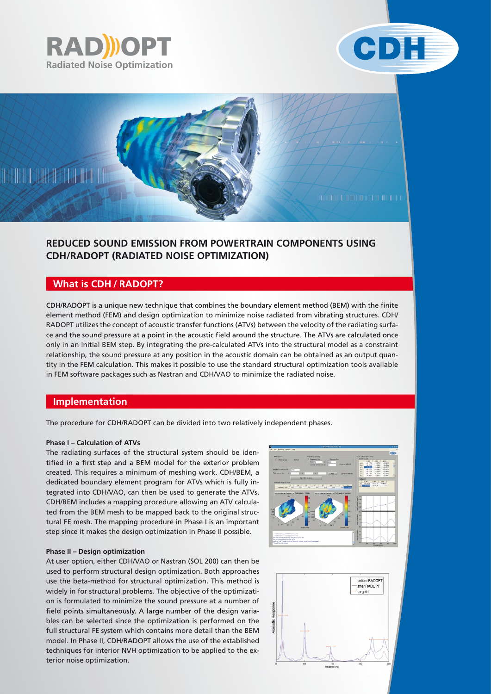





# **REDUCED SOUND EMISSION FROM POWERTRAIN COMPONENTS USING CDH/RADOPT (RADIATED NOISE OPTIMIZATION)**

# **What is CDH / RADOPT?**

CDH/RADOPT is a unique new technique that combines the boundary element method (BEM) with the finite element method (FEM) and design optimization to minimize noise radiated from vibrating structures. CDH/ RADOPT utilizes the concept of acoustic transfer functions (ATVs) between the velocity of the radiating surface and the sound pressure at a point in the acoustic field around the structure. The ATVs are calculated once only in an initial BEM step. By integrating the pre-calculated ATVs into the structural model as a constraint relationship, the sound pressure at any position in the acoustic domain can be obtained as an output quantity in the FEM calculation. This makes it possible to use the standard structural optimization tools available in FEM software packages such as Nastran and CDH/VAO to minimize the radiated noise.

## **Implementation**

The procedure for CDH/RADOPT can be divided into two relatively independent phases.

#### **Phase I – Calculation of ATVs**

The radiating surfaces of the structural system should be identified in a first step and a BEM model for the exterior problem created. This requires a minimum of meshing work. CDH/BEM, a dedicated boundary element program for ATVs which is fully integrated into CDH/VAO, can then be used to generate the ATVs. CDH/BEM includes a mapping procedure allowing an ATV calculated from the BEM mesh to be mapped back to the original structural FE mesh. The mapping procedure in Phase I is an important step since it makes the design optimization in Phase II possible.

#### **Phase II – Design optimization**

At user option, either CDH/VAO or Nastran (SOL 200) can then be used to perform structural design optimization. Both approaches use the beta-method for structural optimization. This method is widely in for structural problems. The objective of the optimization is formulated to minimize the sound pressure at a number of field points simultaneously. A large number of the design variables can be selected since the optimization is performed on the full structural FE system which contains more detail than the BEM model. In Phase II, CDH/RADOPT allows the use of the established techniques for interior NVH optimization to be applied to the exterior noise optimization.